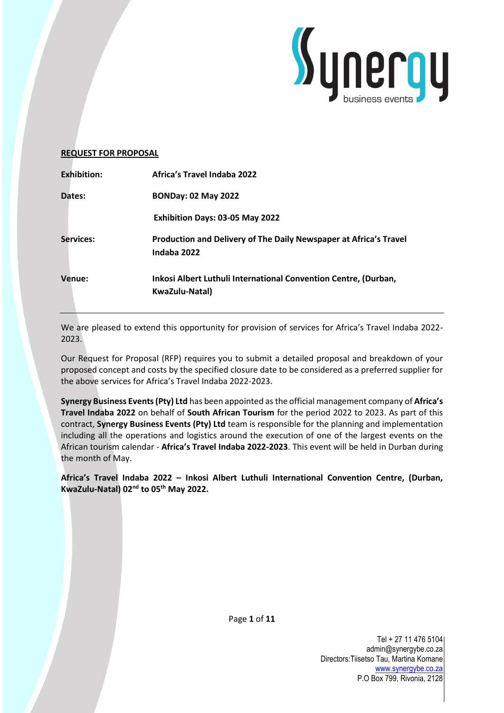

### **REQUEST FOR PROPOSAL**

| <b>Exhibition:</b> | <b>Africa's Travel Indaba 2022</b>                                                |
|--------------------|-----------------------------------------------------------------------------------|
| Dates:             | <b>BONDay: 02 May 2022</b>                                                        |
|                    | Exhibition Days: 03-05 May 2022                                                   |
| Services:          | Production and Delivery of The Daily Newspaper at Africa's Travel<br>Indaba 2022  |
| Venue:             | Inkosi Albert Luthuli International Convention Centre, (Durban,<br>KwaZulu-Natal) |

We are pleased to extend this opportunity for provision of services for Africa's Travel Indaba 2022- 2023.

Our Request for Proposal (RFP) requires you to submit a detailed proposal and breakdown of your proposed concept and costs by the specified closure date to be considered as a preferred supplier for the above services for Africa's Travel Indaba 2022-2023.

**Synergy Business Events (Pty) Ltd** has been appointed as the official management company of **Africa's Travel Indaba 2022** on behalf of **South African Tourism** for the period 2022 to 2023. As part of this contract, **Synergy Business Events (Pty) Ltd** team is responsible for the planning and implementation including all the operations and logistics around the execution of one of the largest events on the African tourism calendar - **Africa's Travel Indaba 2022-2023**. This event will be held in Durban during the month of May.

**Africa's Travel Indaba 2022 – Inkosi Albert Luthuli International Convention Centre, (Durban, KwaZulu-Natal) 02nd to 05th May 2022.**

Page **1** of **11**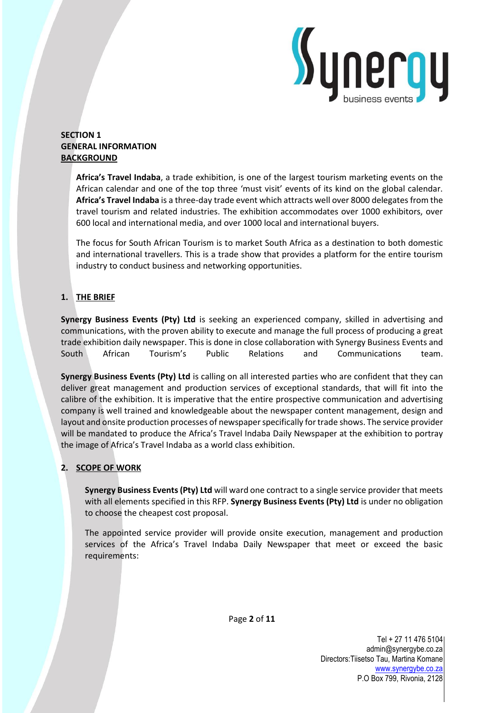

## **SECTION 1 GENERAL INFORMATION BACKGROUND**

**Africa's Travel Indaba**, a trade exhibition, is one of the largest tourism marketing events on the African calendar and one of the top three 'must visit' events of its kind on the global calendar. **Africa's Travel Indaba** is a three-day trade event which attracts well over 8000 delegates from the travel tourism and related industries. The exhibition accommodates over 1000 exhibitors, over 600 local and international media, and over 1000 local and international buyers.

The focus for South African Tourism is to market South Africa as a destination to both domestic and international travellers. This is a trade show that provides a platform for the entire tourism industry to conduct business and networking opportunities.

# **1. THE BRIEF**

**Synergy Business Events (Pty) Ltd** is seeking an experienced company, skilled in advertising and communications, with the proven ability to execute and manage the full process of producing a great trade exhibition daily newspaper. This is done in close collaboration with Synergy Business Events and South African Tourism's Public Relations and Communications team.

**Synergy Business Events (Pty) Ltd** is calling on all interested parties who are confident that they can deliver great management and production services of exceptional standards, that will fit into the calibre of the exhibition. It is imperative that the entire prospective communication and advertising company is well trained and knowledgeable about the newspaper content management, design and layout and onsite production processes of newspaper specifically for trade shows. The service provider will be mandated to produce the Africa's Travel Indaba Daily Newspaper at the exhibition to portray the image of Africa's Travel Indaba as a world class exhibition.

# **2. SCOPE OF WORK**

**Synergy Business Events (Pty) Ltd** will ward one contract to a single service provider that meets with all elements specified in this RFP. **Synergy Business Events (Pty) Ltd** is under no obligation to choose the cheapest cost proposal.

The appointed service provider will provide onsite execution, management and production services of the Africa's Travel Indaba Daily Newspaper that meet or exceed the basic requirements:

Page **2** of **11**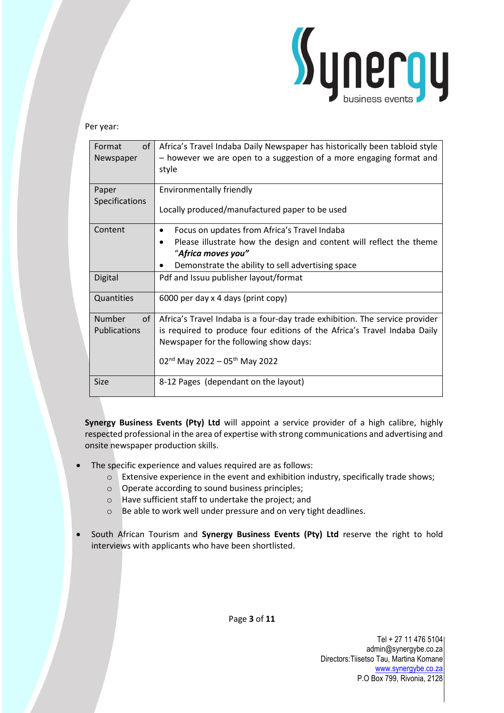

### Per year:

| of<br>Format<br>Newspaper           | Africa's Travel Indaba Daily Newspaper has historically been tabloid style<br>- however we are open to a suggestion of a more engaging format and<br>style                                                                                                 |
|-------------------------------------|------------------------------------------------------------------------------------------------------------------------------------------------------------------------------------------------------------------------------------------------------------|
| Paper<br><b>Specifications</b>      | Environmentally friendly<br>Locally produced/manufactured paper to be used                                                                                                                                                                                 |
| Content                             | Focus on updates from Africa's Travel Indaba<br>٠<br>Please illustrate how the design and content will reflect the theme<br>"Africa moves you"<br>Demonstrate the ability to sell advertising space                                                        |
| Digital                             | Pdf and Issuu publisher layout/format                                                                                                                                                                                                                      |
| Quantities                          | 6000 per day x 4 days (print copy)                                                                                                                                                                                                                         |
| <b>Number</b><br>of<br>Publications | Africa's Travel Indaba is a four-day trade exhibition. The service provider<br>is required to produce four editions of the Africa's Travel Indaba Daily<br>Newspaper for the following show days:<br>02 <sup>nd</sup> May 2022 - 05 <sup>th</sup> May 2022 |
| <b>Size</b>                         | 8-12 Pages (dependant on the layout)                                                                                                                                                                                                                       |

**Synergy Business Events (Pty) Ltd** will appoint a service provider of a high calibre, highly respected professional in the area of expertise with strong communications and advertising and onsite newspaper production skills.

- The specific experience and values required are as follows:
	- o Extensive experience in the event and exhibition industry, specifically trade shows;
	- o Operate according to sound business principles;
	- o Have sufficient staff to undertake the project; and
	- o Be able to work well under pressure and on very tight deadlines.
- South African Tourism and **Synergy Business Events (Pty) Ltd** reserve the right to hold interviews with applicants who have been shortlisted.

Page **3** of **11**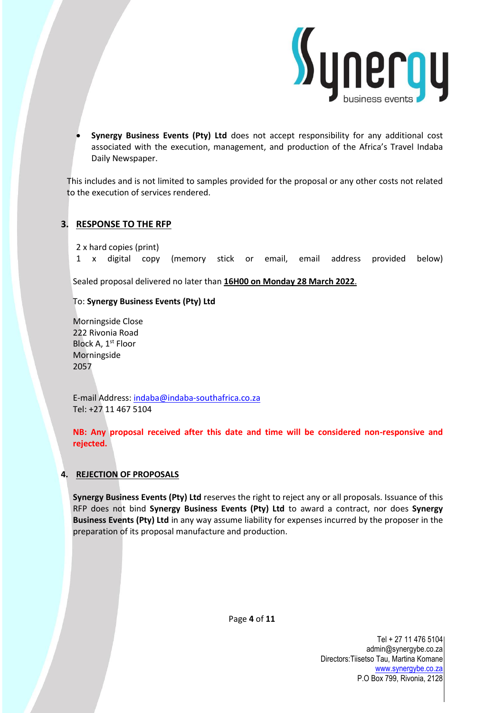

• **Synergy Business Events (Pty) Ltd** does not accept responsibility for any additional cost associated with the execution, management, and production of the Africa's Travel Indaba Daily Newspaper.

This includes and is not limited to samples provided for the proposal or any other costs not related to the execution of services rendered.

## **3. RESPONSE TO THE RFP**

2 x hard copies (print)

1 x digital copy (memory stick or email, email address provided below)

Sealed proposal delivered no later than **16H00 on Monday 28 March 2022**.

## To: **Synergy Business Events (Pty) Ltd**

Morningside Close 222 Rivonia Road Block A, 1<sup>st</sup> Floor Morningside 2057

E-mail Address: [indaba@indaba-southafrica.co.za](mailto:indaba@indaba-southafrica.co.za) Tel: +27 11 467 5104

**NB: Any proposal received after this date and time will be considered non-responsive and rejected.**

## **4. REJECTION OF PROPOSALS**

**Synergy Business Events (Pty) Ltd** reserves the right to reject any or all proposals. Issuance of this RFP does not bind **Synergy Business Events (Pty) Ltd** to award a contract, nor does **Synergy Business Events (Pty) Ltd** in any way assume liability for expenses incurred by the proposer in the preparation of its proposal manufacture and production.

Page **4** of **11**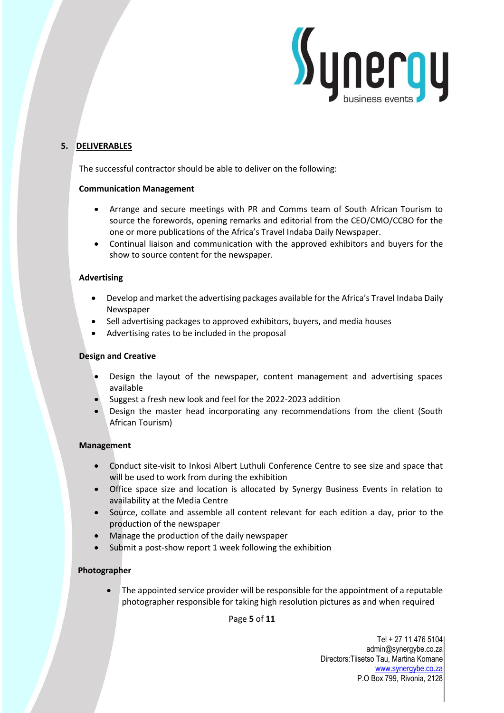

# **5. DELIVERABLES**

The successful contractor should be able to deliver on the following:

## **Communication Management**

- Arrange and secure meetings with PR and Comms team of South African Tourism to source the forewords, opening remarks and editorial from the CEO/CMO/CCBO for the one or more publications of the Africa's Travel Indaba Daily Newspaper.
- Continual liaison and communication with the approved exhibitors and buyers for the show to source content for the newspaper.

## **Advertising**

- Develop and market the advertising packages available for the Africa's Travel Indaba Daily Newspaper
- Sell advertising packages to approved exhibitors, buyers, and media houses
- Advertising rates to be included in the proposal

## **Design and Creative**

- Design the layout of the newspaper, content management and advertising spaces available
- Suggest a fresh new look and feel for the 2022-2023 addition
- Design the master head incorporating any recommendations from the client (South African Tourism)

## **Management**

- Conduct site-visit to Inkosi Albert Luthuli Conference Centre to see size and space that will be used to work from during the exhibition
- Office space size and location is allocated by Synergy Business Events in relation to availability at the Media Centre
- Source, collate and assemble all content relevant for each edition a day, prior to the production of the newspaper
- Manage the production of the daily newspaper
- Submit a post-show report 1 week following the exhibition

# **Photographer**

• The appointed service provider will be responsible for the appointment of a reputable photographer responsible for taking high resolution pictures as and when required

Page **5** of **11**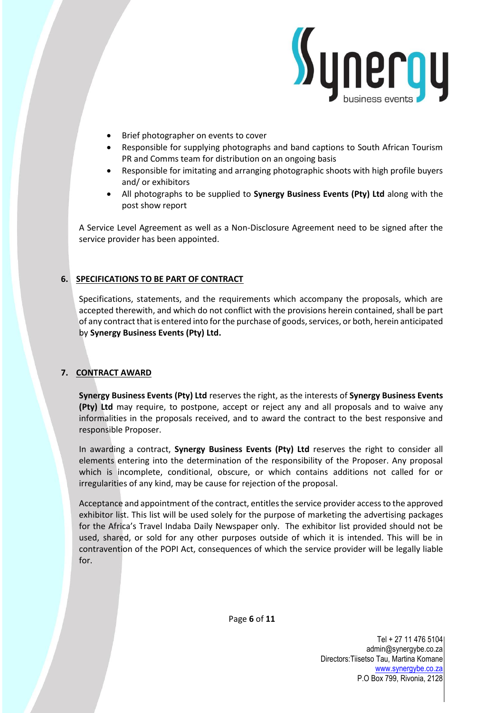

- Brief photographer on events to cover
- Responsible for supplying photographs and band captions to South African Tourism PR and Comms team for distribution on an ongoing basis
- Responsible for imitating and arranging photographic shoots with high profile buyers and/ or exhibitors
- All photographs to be supplied to **Synergy Business Events (Pty) Ltd** along with the post show report

A Service Level Agreement as well as a Non-Disclosure Agreement need to be signed after the service provider has been appointed.

## **6. SPECIFICATIONS TO BE PART OF CONTRACT**

Specifications, statements, and the requirements which accompany the proposals, which are accepted therewith, and which do not conflict with the provisions herein contained, shall be part of any contract that is entered into for the purchase of goods, services, or both, herein anticipated by **Synergy Business Events (Pty) Ltd.**

## **7. CONTRACT AWARD**

**Synergy Business Events (Pty) Ltd** reserves the right, as the interests of **Synergy Business Events (Pty) Ltd** may require, to postpone, accept or reject any and all proposals and to waive any informalities in the proposals received, and to award the contract to the best responsive and responsible Proposer.

In awarding a contract, **Synergy Business Events (Pty) Ltd** reserves the right to consider all elements entering into the determination of the responsibility of the Proposer. Any proposal which is incomplete, conditional, obscure, or which contains additions not called for or irregularities of any kind, may be cause for rejection of the proposal.

Acceptance and appointment of the contract, entitles the service provider access to the approved exhibitor list. This list will be used solely for the purpose of marketing the advertising packages for the Africa's Travel Indaba Daily Newspaper only. The exhibitor list provided should not be used, shared, or sold for any other purposes outside of which it is intended. This will be in contravention of the POPI Act, consequences of which the service provider will be legally liable for.

Page **6** of **11**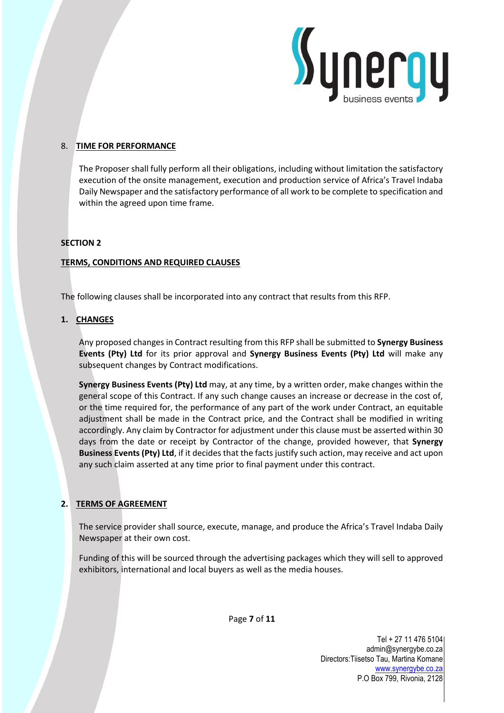

## 8. **TIME FOR PERFORMANCE**

The Proposer shall fully perform all their obligations, including without limitation the satisfactory execution of the onsite management, execution and production service of Africa's Travel Indaba Daily Newspaper and the satisfactory performance of all work to be complete to specification and within the agreed upon time frame.

### **SECTION 2**

### **TERMS, CONDITIONS AND REQUIRED CLAUSES**

The following clauses shall be incorporated into any contract that results from this RFP.

## **1. CHANGES**

Any proposed changes in Contract resulting from this RFP shall be submitted to **Synergy Business Events (Pty) Ltd** for its prior approval and **Synergy Business Events (Pty) Ltd** will make any subsequent changes by Contract modifications.

**Synergy Business Events (Pty) Ltd** may, at any time, by a written order, make changes within the general scope of this Contract. If any such change causes an increase or decrease in the cost of, or the time required for, the performance of any part of the work under Contract, an equitable adjustment shall be made in the Contract price, and the Contract shall be modified in writing accordingly. Any claim by Contractor for adjustment under this clause must be asserted within 30 days from the date or receipt by Contractor of the change, provided however, that **Synergy Business Events (Pty) Ltd**, if it decides that the facts justify such action, may receive and act upon any such claim asserted at any time prior to final payment under this contract.

# **2. TERMS OF AGREEMENT**

The service provider shall source, execute, manage, and produce the Africa's Travel Indaba Daily Newspaper at their own cost.

Funding of this will be sourced through the advertising packages which they will sell to approved exhibitors, international and local buyers as well as the media houses.

Page **7** of **11**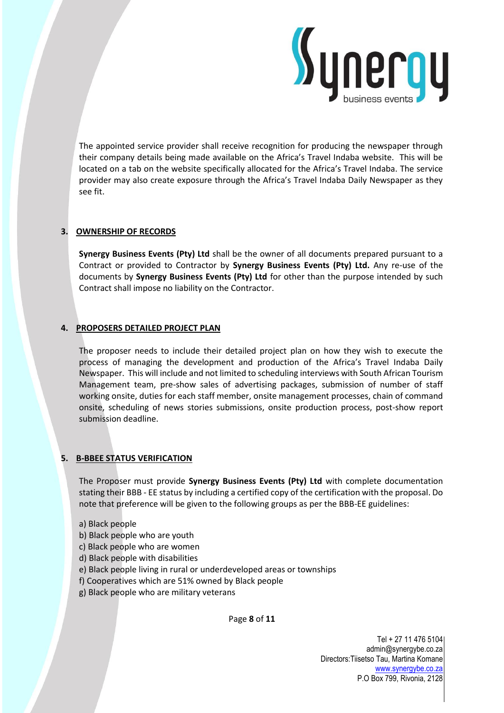

The appointed service provider shall receive recognition for producing the newspaper through their company details being made available on the Africa's Travel Indaba website. This will be located on a tab on the website specifically allocated for the Africa's Travel Indaba. The service provider may also create exposure through the Africa's Travel Indaba Daily Newspaper as they see fit.

## **3. OWNERSHIP OF RECORDS**

**Synergy Business Events (Pty) Ltd** shall be the owner of all documents prepared pursuant to a Contract or provided to Contractor by **Synergy Business Events (Pty) Ltd.** Any re-use of the documents by **Synergy Business Events (Pty) Ltd** for other than the purpose intended by such Contract shall impose no liability on the Contractor.

### **4. PROPOSERS DETAILED PROJECT PLAN**

The proposer needs to include their detailed project plan on how they wish to execute the process of managing the development and production of the Africa's Travel Indaba Daily Newspaper. This will include and not limited to scheduling interviews with South African Tourism Management team, pre-show sales of advertising packages, submission of number of staff working onsite, duties for each staff member, onsite management processes, chain of command onsite, scheduling of news stories submissions, onsite production process, post-show report submission deadline.

## **5. B-BBEE STATUS VERIFICATION**

The Proposer must provide **Synergy Business Events (Pty) Ltd** with complete documentation stating their BBB - EE status by including a certified copy of the certification with the proposal. Do note that preference will be given to the following groups as per the BBB-EE guidelines:

- a) Black people
- b) Black people who are youth
- c) Black people who are women
- d) Black people with disabilities
- e) Black people living in rural or underdeveloped areas or townships
- f) Cooperatives which are 51% owned by Black people
- g) Black people who are military veterans

Page **8** of **11**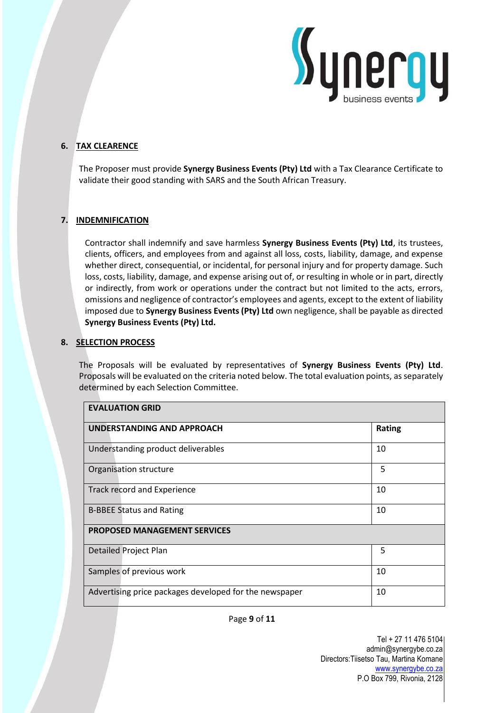

# **6. TAX CLEARENCE**

The Proposer must provide **Synergy Business Events (Pty) Ltd** with a Tax Clearance Certificate to validate their good standing with SARS and the South African Treasury.

### **7. INDEMNIFICATION**

Contractor shall indemnify and save harmless **Synergy Business Events (Pty) Ltd**, its trustees, clients, officers, and employees from and against all loss, costs, liability, damage, and expense whether direct, consequential, or incidental, for personal injury and for property damage. Such loss, costs, liability, damage, and expense arising out of, or resulting in whole or in part, directly or indirectly, from work or operations under the contract but not limited to the acts, errors, omissions and negligence of contractor's employees and agents, except to the extent of liability imposed due to **Synergy Business Events (Pty) Ltd** own negligence, shall be payable as directed **Synergy Business Events (Pty) Ltd.** 

### **8. SELECTION PROCESS**

The Proposals will be evaluated by representatives of **Synergy Business Events (Pty) Ltd**. Proposals will be evaluated on the criteria noted below. The total evaluation points, as separately determined by each Selection Committee.

| <b>EVALUATION GRID</b>                                 |        |
|--------------------------------------------------------|--------|
| UNDERSTANDING AND APPROACH                             | Rating |
| Understanding product deliverables                     | 10     |
| Organisation structure                                 | 5      |
| Track record and Experience                            | 10     |
| <b>B-BBEE Status and Rating</b>                        | 10     |
| <b>PROPOSED MANAGEMENT SERVICES</b>                    |        |
| <b>Detailed Project Plan</b>                           | 5      |
| Samples of previous work                               | 10     |
| Advertising price packages developed for the newspaper | 10     |

### Page **9** of **11**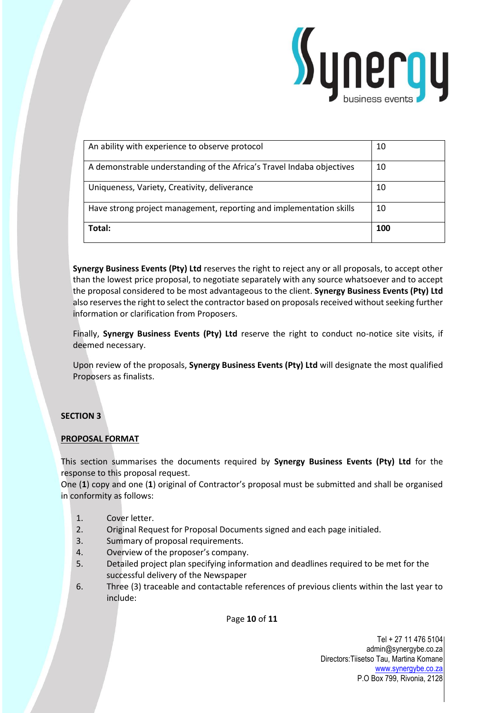

| An ability with experience to observe protocol                        | 10  |
|-----------------------------------------------------------------------|-----|
| A demonstrable understanding of the Africa's Travel Indaba objectives | 10  |
| Uniqueness, Variety, Creativity, deliverance                          | 10  |
| Have strong project management, reporting and implementation skills   | 10  |
| Total:                                                                | 100 |

**Synergy Business Events (Pty) Ltd** reserves the right to reject any or all proposals, to accept other than the lowest price proposal, to negotiate separately with any source whatsoever and to accept the proposal considered to be most advantageous to the client. **Synergy Business Events (Pty) Ltd** also reserves the right to select the contractor based on proposals received without seeking further information or clarification from Proposers.

Finally, **Synergy Business Events (Pty) Ltd** reserve the right to conduct no-notice site visits, if deemed necessary.

Upon review of the proposals, **Synergy Business Events (Pty) Ltd** will designate the most qualified Proposers as finalists.

## **SECTION 3**

## **PROPOSAL FORMAT**

This section summarises the documents required by **Synergy Business Events (Pty) Ltd** for the response to this proposal request.

One (**1**) copy and one (**1**) original of Contractor's proposal must be submitted and shall be organised in conformity as follows:

- 1. Cover letter.
- 2. Original Request for Proposal Documents signed and each page initialed.
- 3. Summary of proposal requirements.
- 4. Overview of the proposer's company.
- 5. Detailed project plan specifying information and deadlines required to be met for the successful delivery of the Newspaper
- 6. Three (3) traceable and contactable references of previous clients within the last year to include:

Page **10** of **11**